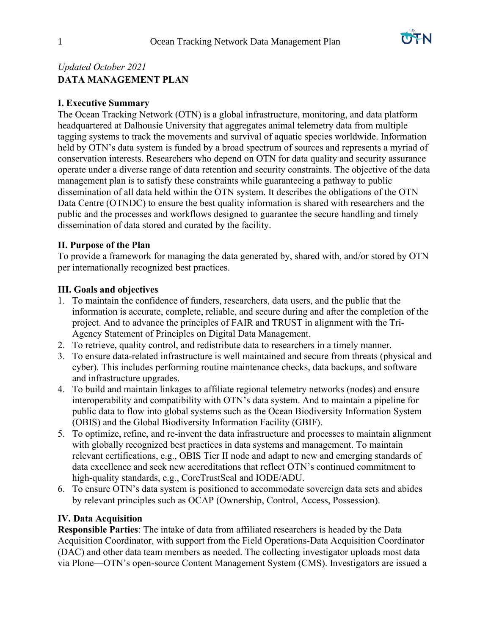

# *Updated October 2021* **DATA MANAGEMENT PLAN**

## **I. Executive Summary**

The Ocean Tracking Network (OTN) is a global infrastructure, monitoring, and data platform headquartered at Dalhousie University that aggregates animal telemetry data from multiple tagging systems to track the movements and survival of aquatic species worldwide. Information held by OTN's data system is funded by a broad spectrum of sources and represents a myriad of conservation interests. Researchers who depend on OTN for data quality and security assurance operate under a diverse range of data retention and security constraints. The objective of the data management plan is to satisfy these constraints while guaranteeing a pathway to public dissemination of all data held within the OTN system. It describes the obligations of the OTN Data Centre (OTNDC) to ensure the best quality information is shared with researchers and the public and the processes and workflows designed to guarantee the secure handling and timely dissemination of data stored and curated by the facility.

## **II. Purpose of the Plan**

To provide a framework for managing the data generated by, shared with, and/or stored by OTN per internationally recognized best practices.

## **III. Goals and objectives**

- 1. To maintain the confidence of funders, researchers, data users, and the public that the information is accurate, complete, reliable, and secure during and after the completion of the project. And to advance the principles of FAIR and TRUST in alignment with the Tri-Agency Statement of Principles on Digital Data Management.
- 2. To retrieve, quality control, and redistribute data to researchers in a timely manner.
- 3. To ensure data-related infrastructure is well maintained and secure from threats (physical and cyber). This includes performing routine maintenance checks, data backups, and software and infrastructure upgrades.
- 4. To build and maintain linkages to affiliate regional telemetry networks (nodes) and ensure interoperability and compatibility with OTN's data system. And to maintain a pipeline for public data to flow into global systems such as the Ocean Biodiversity Information System (OBIS) and the Global Biodiversity Information Facility (GBIF).
- 5. To optimize, refine, and re-invent the data infrastructure and processes to maintain alignment with globally recognized best practices in data systems and management. To maintain relevant certifications, e.g., OBIS Tier II node and adapt to new and emerging standards of data excellence and seek new accreditations that reflect OTN's continued commitment to high-quality standards, e.g., CoreTrustSeal and IODE/ADU.
- 6. To ensure OTN's data system is positioned to accommodate sovereign data sets and abides by relevant principles such as OCAP (Ownership, Control, Access, Possession).

## **IV. Data Acquisition**

**Responsible Parties**: The intake of data from affiliated researchers is headed by the Data Acquisition Coordinator, with support from the Field Operations-Data Acquisition Coordinator (DAC) and other data team members as needed. The collecting investigator uploads most data via Plone—OTN's open-source Content Management System (CMS). Investigators are issued a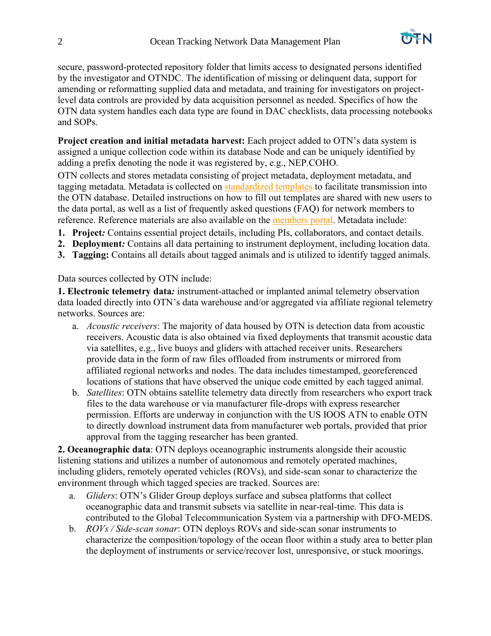

secure, password-protected repository folder that limits access to designated persons identified by the investigator and OTNDC. The identification of missing or delinquent data, support for amending or reformatting supplied data and metadata, and training for investigators on projectlevel data controls are provided by data acquisition personnel as needed. Specifics of how the OTN data system handles each data type are found in DAC checklists, data processing notebooks and SOPs.

**Project creation and initial metadata harvest:** Each project added to OTN's data system is assigned a unique collection code within its database Node and can be uniquely identified by adding a prefix denoting the node it was registered by, e.g., NEP.COHO.

OTN collects and stores metadata consisting of project metadata, deployment metadata, and tagging metadata. Metadata is collected on [standardized templates](https://members.oceantrack.org/data/data-collection) to facilitate transmission into the OTN database. Detailed instructions on how to fill out templates are shared with new users to the data portal, as well as a list of frequently asked questions (FAQ) for network members to reference. Reference materials are also available on the [members portal.](https://members.oceantrack.org/) Metadata include:

- **1. Project***:* Contains essential project details, including PIs, collaborators, and contact details.
- **2. Deployment***:* Contains all data pertaining to instrument deployment, including location data.
- **3. Tagging:** Contains all details about tagged animals and is utilized to identify tagged animals.

Data sources collected by OTN include:

**1. Electronic telemetry data***:* instrument-attached or implanted animal telemetry observation data loaded directly into OTN's data warehouse and/or aggregated via affiliate regional telemetry networks. Sources are:

- a. *Acoustic receivers*: The majority of data housed by OTN is detection data from acoustic receivers. Acoustic data is also obtained via fixed deployments that transmit acoustic data via satellites, e.g., live buoys and gliders with attached receiver units. Researchers provide data in the form of raw files offloaded from instruments or mirrored from affiliated regional networks and nodes. The data includes timestamped, georeferenced locations of stations that have observed the unique code emitted by each tagged animal.
- b. *Satellites*: OTN obtains satellite telemetry data directly from researchers who export track files to the data warehouse or via manufacturer file-drops with express researcher permission. Efforts are underway in conjunction with the US IOOS ATN to enable OTN to directly download instrument data from manufacturer web portals, provided that prior approval from the tagging researcher has been granted.

**2. Oceanographic data**: OTN deploys oceanographic instruments alongside their acoustic listening stations and utilizes a number of autonomous and remotely operated machines, including gliders, remotely operated vehicles (ROVs), and side-scan sonar to characterize the environment through which tagged species are tracked. Sources are:

- a. *Gliders*: OTN's Glider Group deploys surface and subsea platforms that collect oceanographic data and transmit subsets via satellite in near-real-time. This data is contributed to the Global Telecommunication System via a partnership with DFO-MEDS.
- b. *ROVs / Side-scan sonar*: OTN deploys ROVs and side-scan sonar instruments to characterize the composition/topology of the ocean floor within a study area to better plan the deployment of instruments or service/recover lost, unresponsive, or stuck moorings.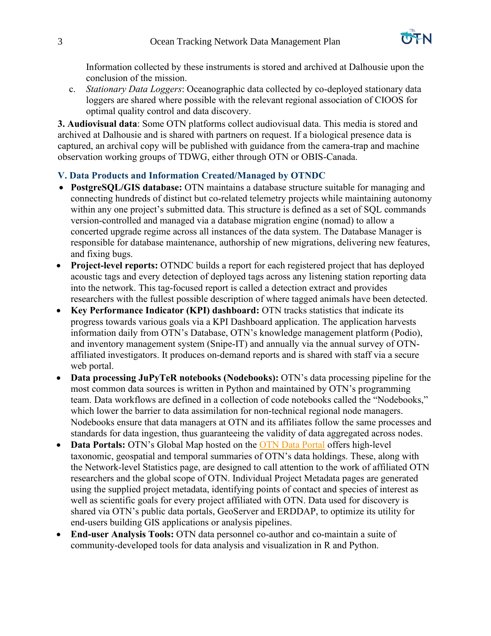

Information collected by these instruments is stored and archived at Dalhousie upon the conclusion of the mission.

c. *Stationary Data Loggers*: Oceanographic data collected by co-deployed stationary data loggers are shared where possible with the relevant regional association of CIOOS for optimal quality control and data discovery.

**3. Audiovisual data**: Some OTN platforms collect audiovisual data. This media is stored and archived at Dalhousie and is shared with partners on request. If a biological presence data is captured, an archival copy will be published with guidance from the camera-trap and machine observation working groups of TDWG, either through OTN or OBIS-Canada.

## **V. Data Products and Information Created/Managed by OTNDC**

- **PostgreSQL/GIS database:** OTN maintains a database structure suitable for managing and connecting hundreds of distinct but co-related telemetry projects while maintaining autonomy within any one project's submitted data. This structure is defined as a set of SQL commands version-controlled and managed via a database migration engine (nomad) to allow a concerted upgrade regime across all instances of the data system. The Database Manager is responsible for database maintenance, authorship of new migrations, delivering new features, and fixing bugs.
- **Project-level reports:** OTNDC builds a report for each registered project that has deployed acoustic tags and every detection of deployed tags across any listening station reporting data into the network. This tag-focused report is called a detection extract and provides researchers with the fullest possible description of where tagged animals have been detected.
- **Key Performance Indicator (KPI) dashboard:** OTN tracks statistics that indicate its progress towards various goals via a KPI Dashboard application. The application harvests information daily from OTN's Database, OTN's knowledge management platform (Podio), and inventory management system (Snipe-IT) and annually via the annual survey of OTNaffiliated investigators. It produces on-demand reports and is shared with staff via a secure web portal.
- **Data processing JuPyTeR notebooks (Nodebooks):** OTN's data processing pipeline for the most common data sources is written in Python and maintained by OTN's programming team. Data workflows are defined in a collection of code notebooks called the "Nodebooks," which lower the barrier to data assimilation for non-technical regional node managers. Nodebooks ensure that data managers at OTN and its affiliates follow the same processes and standards for data ingestion, thus guaranteeing the validity of data aggregated across nodes.
- **Data Portals:** OTN's Global Map hosted on the [OTN Data Portal](https://members.oceantrack.org/) offers high-level taxonomic, geospatial and temporal summaries of OTN's data holdings. These, along with the Network-level Statistics page, are designed to call attention to the work of affiliated OTN researchers and the global scope of OTN. Individual Project Metadata pages are generated using the supplied project metadata, identifying points of contact and species of interest as well as scientific goals for every project affiliated with OTN. Data used for discovery is shared via OTN's public data portals, GeoServer and ERDDAP, to optimize its utility for end-users building GIS applications or analysis pipelines.
- **End-user Analysis Tools:** OTN data personnel co-author and co-maintain a suite of community-developed tools for data analysis and visualization in R and Python.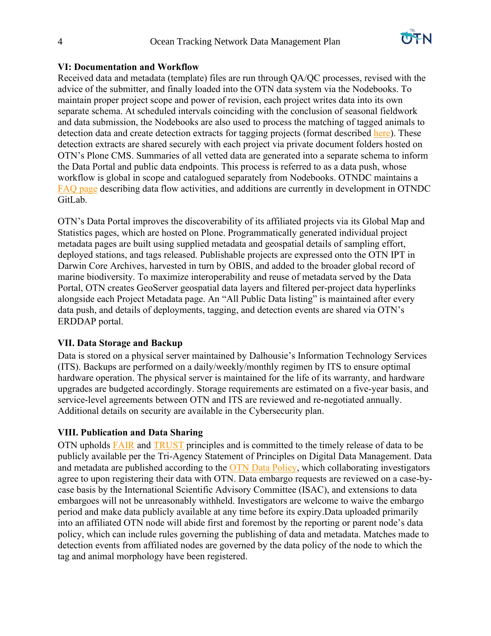

### **VI: Documentation and Workflow**

Received data and metadata (template) files are run through QA/QC processes, revised with the advice of the submitter, and finally loaded into the OTN data system via the Nodebooks. To maintain proper project scope and power of revision, each project writes data into its own separate schema. At scheduled intervals coinciding with the conclusion of seasonal fieldwork and data submission, the Nodebooks are also used to process the matching of tagged animals to detection data and create detection extracts for tagging projects (format described [here\)](https://members.oceantrack.org/data/otn-detection-extract-documentation-matched-to-animals). These detection extracts are shared securely with each project via private document folders hosted on OTN's Plone CMS. Summaries of all vetted data are generated into a separate schema to inform the Data Portal and public data endpoints. This process is referred to as a data push, whose workflow is global in scope and catalogued separately from Nodebooks. OTNDC maintains a [FAQ page](https://members.oceantrack.org/faq) describing data flow activities, and additions are currently in development in OTNDC GitLab.

OTN's Data Portal improves the discoverability of its affiliated projects via its Global Map and Statistics pages, which are hosted on Plone. Programmatically generated individual project metadata pages are built using supplied metadata and geospatial details of sampling effort, deployed stations, and tags released. Publishable projects are expressed onto the OTN IPT in Darwin Core Archives, harvested in turn by OBIS, and added to the broader global record of marine biodiversity. To maximize interoperability and reuse of metadata served by the Data Portal, OTN creates GeoServer geospatial data layers and filtered per-project data hyperlinks alongside each Project Metadata page. An "All Public Data listing" is maintained after every data push, and details of deployments, tagging, and detection events are shared via OTN's ERDDAP portal.

### **VII. Data Storage and Backup**

Data is stored on a physical server maintained by Dalhousie's Information Technology Services (ITS). Backups are performed on a daily/weekly/monthly regimen by ITS to ensure optimal hardware operation. The physical server is maintained for the life of its warranty, and hardware upgrades are budgeted accordingly. Storage requirements are estimated on a five-year basis, and service-level agreements between OTN and ITS are reviewed and re-negotiated annually. Additional details on security are available in the Cybersecurity plan.

### **VIII. Publication and Data Sharing**

OTN upholds **[FAIR](https://www.go-fair.org/fair-principles/)** and **TRUST** principles and is committed to the timely release of data to be publicly available per the Tri-Agency Statement of Principles on Digital Data Management. Data and metadata are published according to the [OTN Data Policy,](https://members.oceantrack.org/data/policies/otn-data-policy-2018.pdf) which collaborating investigators agree to upon registering their data with OTN. Data embargo requests are reviewed on a case-bycase basis by the International Scientific Advisory Committee (ISAC), and extensions to data embargoes will not be unreasonably withheld. Investigators are welcome to waive the embargo period and make data publicly available at any time before its expiry.Data uploaded primarily into an affiliated OTN node will abide first and foremost by the reporting or parent node's data policy, which can include rules governing the publishing of data and metadata. Matches made to detection events from affiliated nodes are governed by the data policy of the node to which the tag and animal morphology have been registered.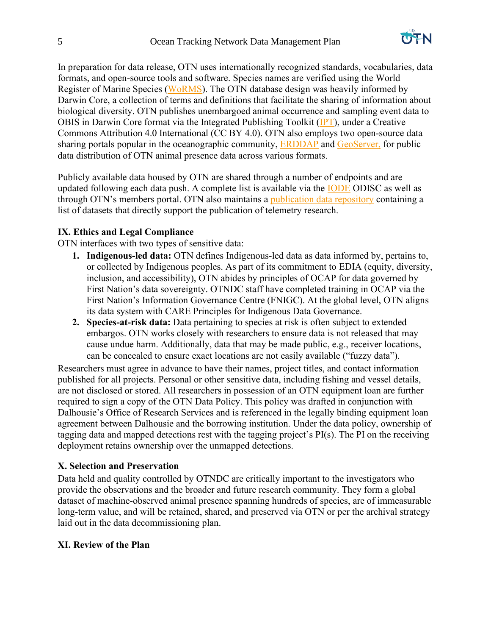

In preparation for data release, OTN uses internationally recognized standards, vocabularies, data formats, and open-source tools and software. Species names are verified using the World Register of Marine Species [\(WoRMS\)](http://www.marinespecies.org/). The OTN database design was heavily informed by Darwin Core, a collection of terms and definitions that facilitate the sharing of information about biological diversity. OTN publishes unembargoed animal occurrence and sampling event data to OBIS in Darwin Core format via the Integrated Publishing Toolkit [\(IPT\)](https://www.gbif.org/ipt), under a Creative Commons Attribution 4.0 International (CC BY 4.0). OTN also employs two open-source data sharing portals popular in the oceanographic community, **[ERDDAP](https://www.ncei.noaa.gov/erddap/information.html)** and [GeoServer,](http://geoserver.org/) for public data distribution of OTN animal presence data across various formats.

Publicly available data housed by OTN are shared through a number of endpoints and are updated following each data push. A complete list is available via the [IODE](https://catalogue.odis.org/) ODISC as well as through OTN's members portal. OTN also maintains a [publication data repository](https://members.oceantrack.org/data/pblctn_data) containing a list of datasets that directly support the publication of telemetry research.

## **IX. Ethics and Legal Compliance**

OTN interfaces with two types of sensitive data:

- **1. Indigenous-led data:** OTN defines Indigenous-led data as data informed by, pertains to, or collected by Indigenous peoples. As part of its commitment to EDIA (equity, diversity, inclusion, and accessibility), OTN abides by principles of OCAP for data governed by First Nation's data sovereignty. OTNDC staff have completed training in OCAP via the First Nation's Information Governance Centre (FNIGC). At the global level, OTN aligns its data system with CARE Principles for Indigenous Data Governance.
- **2. Species-at-risk data:** Data pertaining to species at risk is often subject to extended embargos. OTN works closely with researchers to ensure data is not released that may cause undue harm. Additionally, data that may be made public, e.g., receiver locations, can be concealed to ensure exact locations are not easily available ("fuzzy data").

Researchers must agree in advance to have their names, project titles, and contact information published for all projects. Personal or other sensitive data, including fishing and vessel details, are not disclosed or stored. All researchers in possession of an OTN equipment loan are further required to sign a copy of the OTN Data Policy. This policy was drafted in conjunction with Dalhousie's Office of Research Services and is referenced in the legally binding equipment loan agreement between Dalhousie and the borrowing institution. Under the data policy, ownership of tagging data and mapped detections rest with the tagging project's PI(s). The PI on the receiving deployment retains ownership over the unmapped detections.

## **X. Selection and Preservation**

Data held and quality controlled by OTNDC are critically important to the investigators who provide the observations and the broader and future research community. They form a global dataset of machine-observed animal presence spanning hundreds of species, are of immeasurable long-term value, and will be retained, shared, and preserved via OTN or per the archival strategy laid out in the data decommissioning plan.

## **XI. Review of the Plan**